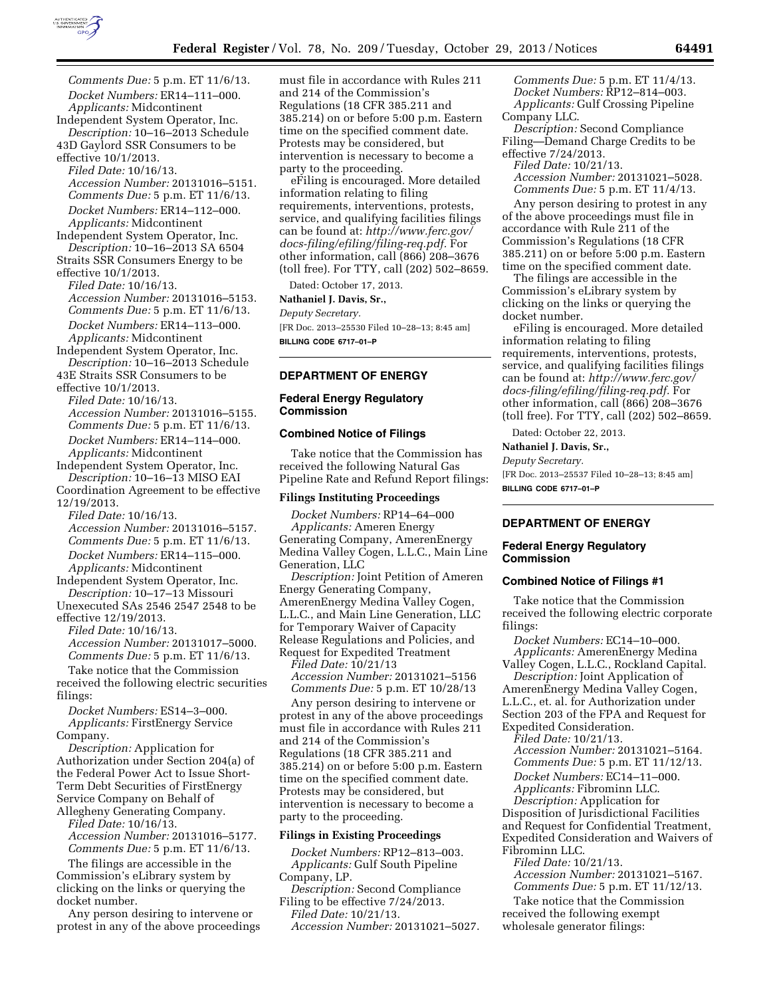

*Comments Due:* 5 p.m. ET 11/6/13. *Docket Numbers:* ER14–111–000. *Applicants:* Midcontinent Independent System Operator, Inc. *Description:* 10–16–2013 Schedule

43D Gaylord SSR Consumers to be effective 10/1/2013.

*Filed Date:* 10/16/13. *Accession Number:* 20131016–5151. *Comments Due:* 5 p.m. ET 11/6/13. *Docket Numbers:* ER14–112–000. *Applicants:* Midcontinent

Independent System Operator, Inc. *Description:* 10–16–2013 SA 6504 Straits SSR Consumers Energy to be

effective 10/1/2013. *Filed Date:* 10/16/13.

*Accession Number:* 20131016–5153. *Comments Due:* 5 p.m. ET 11/6/13. *Docket Numbers:* ER14–113–000. *Applicants:* Midcontinent

Independent System Operator, Inc. *Description:* 10–16–2013 Schedule

43E Straits SSR Consumers to be effective 10/1/2013.

*Filed Date:* 10/16/13. *Accession Number:* 20131016–5155. *Comments Due:* 5 p.m. ET 11/6/13.

*Docket Numbers:* ER14–114–000. *Applicants:* Midcontinent Independent System Operator, Inc.

*Description:* 10–16–13 MISO EAI

Coordination Agreement to be effective 12/19/2013.

*Filed Date:* 10/16/13. *Accession Number:* 20131016–5157. *Comments Due:* 5 p.m. ET 11/6/13. *Docket Numbers:* ER14–115–000. *Applicants:* Midcontinent

Independent System Operator, Inc. *Description:* 10–17–13 Missouri

Unexecuted SAs 2546 2547 2548 to be effective 12/19/2013.

*Filed Date:* 10/16/13.

*Accession Number:* 20131017–5000. *Comments Due:* 5 p.m. ET 11/6/13.

Take notice that the Commission received the following electric securities filings:

*Docket Numbers:* ES14–3–000. *Applicants:* FirstEnergy Service Company.

*Description:* Application for Authorization under Section 204(a) of the Federal Power Act to Issue Short-Term Debt Securities of FirstEnergy Service Company on Behalf of Allegheny Generating Company.

*Filed Date:* 10/16/13.

*Accession Number:* 20131016–5177. *Comments Due:* 5 p.m. ET 11/6/13.

The filings are accessible in the Commission's eLibrary system by clicking on the links or querying the docket number.

Any person desiring to intervene or protest in any of the above proceedings must file in accordance with Rules 211 and 214 of the Commission's Regulations (18 CFR 385.211 and 385.214) on or before 5:00 p.m. Eastern time on the specified comment date. Protests may be considered, but intervention is necessary to become a party to the proceeding.

eFiling is encouraged. More detailed information relating to filing requirements, interventions, protests, service, and qualifying facilities filings can be found at: *[http://www.ferc.gov/](http://www.ferc.gov/docs-filing/efiling/filing-req.pdf)  [docs-filing/efiling/filing-req.pdf.](http://www.ferc.gov/docs-filing/efiling/filing-req.pdf)* For other information, call (866) 208–3676 (toll free). For TTY, call (202) 502–8659.

Dated: October 17, 2013.

## **Nathaniel J. Davis, Sr.,**

*Deputy Secretary.*  [FR Doc. 2013–25530 Filed 10–28–13; 8:45 am] **BILLING CODE 6717–01–P** 

# **DEPARTMENT OF ENERGY**

## **Federal Energy Regulatory Commission**

#### **Combined Notice of Filings**

Take notice that the Commission has received the following Natural Gas Pipeline Rate and Refund Report filings:

## **Filings Instituting Proceedings**

*Docket Numbers:* RP14–64–000 *Applicants:* Ameren Energy Generating Company, AmerenEnergy Medina Valley Cogen, L.L.C., Main Line Generation, LLC

*Description:* Joint Petition of Ameren Energy Generating Company, AmerenEnergy Medina Valley Cogen, L.L.C., and Main Line Generation, LLC for Temporary Waiver of Capacity Release Regulations and Policies, and Request for Expedited Treatment

*Filed Date:* 10/21/13 *Accession Number:* 20131021–5156 *Comments Due:* 5 p.m. ET 10/28/13

Any person desiring to intervene or protest in any of the above proceedings must file in accordance with Rules 211 and 214 of the Commission's Regulations (18 CFR 385.211 and 385.214) on or before 5:00 p.m. Eastern time on the specified comment date. Protests may be considered, but intervention is necessary to become a party to the proceeding.

# **Filings in Existing Proceedings**

*Docket Numbers:* RP12–813–003. *Applicants:* Gulf South Pipeline Company, LP.

*Description:* Second Compliance Filing to be effective 7/24/2013.

*Filed Date:* 10/21/13.

*Accession Number:* 20131021–5027.

*Comments Due:* 5 p.m. ET 11/4/13. *Docket Numbers:* RP12–814–003. *Applicants:* Gulf Crossing Pipeline Company LLC.

*Description:* Second Compliance Filing—Demand Charge Credits to be effective 7/24/2013.

*Filed Date:* 10/21/13.

*Accession Number:* 20131021–5028. *Comments Due:* 5 p.m. ET 11/4/13.

Any person desiring to protest in any of the above proceedings must file in accordance with Rule 211 of the Commission's Regulations (18 CFR 385.211) on or before 5:00 p.m. Eastern time on the specified comment date.

The filings are accessible in the Commission's eLibrary system by clicking on the links or querying the docket number.

eFiling is encouraged. More detailed information relating to filing requirements, interventions, protests, service, and qualifying facilities filings can be found at: *[http://www.ferc.gov/](http://www.ferc.gov/docs-filing/efiling/filing-req.pdf) [docs-filing/efiling/filing-req.pdf.](http://www.ferc.gov/docs-filing/efiling/filing-req.pdf)* For other information, call (866) 208–3676 (toll free). For TTY, call (202) 502–8659.

Dated: October 22, 2013.

#### **Nathaniel J. Davis, Sr.,**

*Deputy Secretary.* 

[FR Doc. 2013–25537 Filed 10–28–13; 8:45 am] **BILLING CODE 6717–01–P** 

## **DEPARTMENT OF ENERGY**

### **Federal Energy Regulatory Commission**

## **Combined Notice of Filings #1**

Take notice that the Commission received the following electric corporate filings:

*Docket Numbers:* EC14–10–000. *Applicants:* AmerenEnergy Medina Valley Cogen, L.L.C., Rockland Capital.

*Description:* Joint Application of AmerenEnergy Medina Valley Cogen, L.L.C., et. al. for Authorization under Section 203 of the FPA and Request for Expedited Consideration.

*Filed Date:* 10/21/13.

*Accession Number:* 20131021–5164. *Comments Due:* 5 p.m. ET 11/12/13. *Docket Numbers:* EC14–11–000. *Applicants:* Fibrominn LLC.

*Description:* Application for

Disposition of Jurisdictional Facilities and Request for Confidential Treatment, Expedited Consideration and Waivers of Fibrominn LLC.

*Filed Date:* 10/21/13. *Accession Number:* 20131021–5167. *Comments Due:* 5 p.m. ET 11/12/13.

Take notice that the Commission received the following exempt wholesale generator filings: